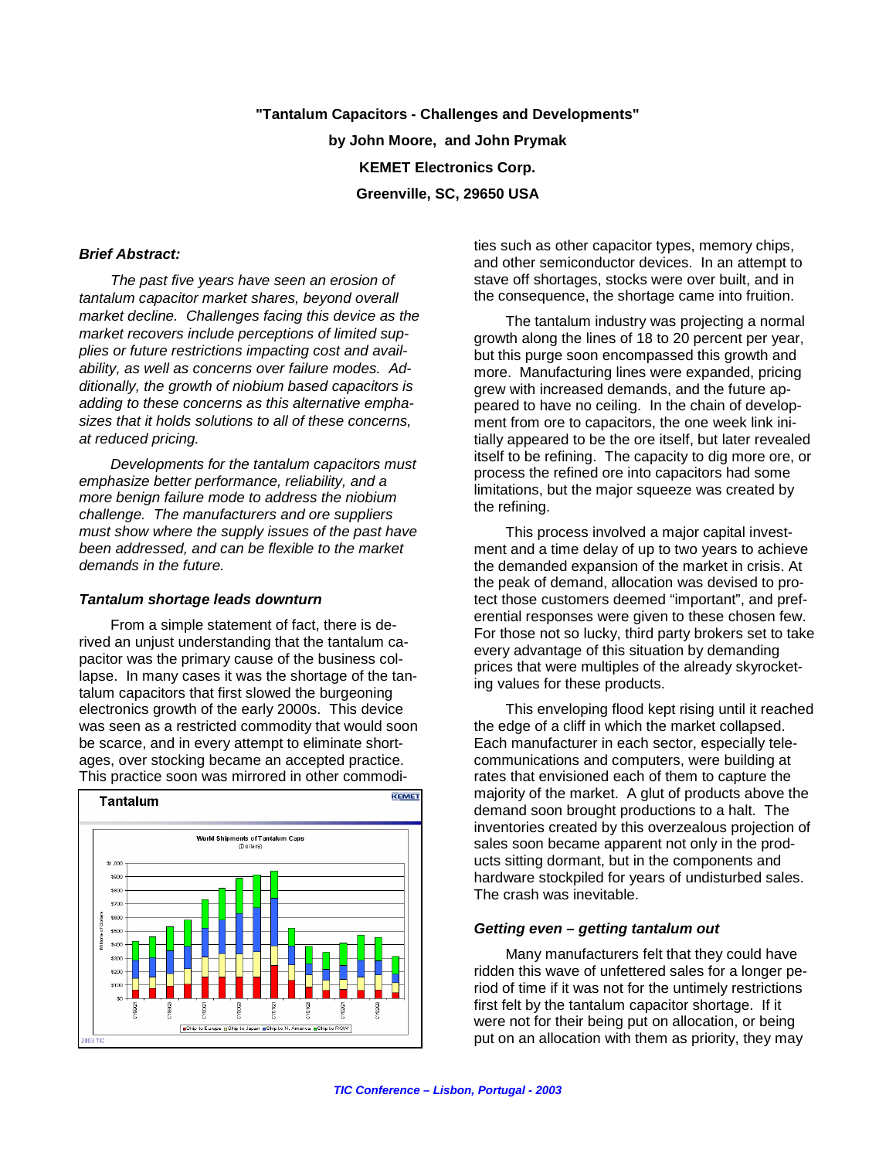**"Tantalum Capacitors - Challenges and Developments" by John Moore, and John Prymak KEMET Electronics Corp. Greenville, SC, 29650 USA**

#### *Brief Abstract:*

*The past five years have seen an erosion of tantalum capacitor market shares, beyond overall market decline. Challenges facing this device as the market recovers include perceptions of limited supplies or future restrictions impacting cost and availability, as well as concerns over failure modes. Additionally, the growth of niobium based capacitors is adding to these concerns as this alternative emphasizes that it holds solutions to all of these concerns, at reduced pricing.* 

*Developments for the tantalum capacitors must emphasize better performance, reliability, and a more benign failure mode to address the niobium challenge. The manufacturers and ore suppliers must show where the supply issues of the past have been addressed, and can be flexible to the market demands in the future.*

#### *Tantalum shortage leads downturn*

From a simple statement of fact, there is derived an unjust understanding that the tantalum capacitor was the primary cause of the business collapse. In many cases it was the shortage of the tantalum capacitors that first slowed the burgeoning electronics growth of the early 2000s. This device was seen as a restricted commodity that would soon be scarce, and in every attempt to eliminate shortages, over stocking became an accepted practice. This practice soon was mirrored in other commodi-



ties such as other capacitor types, memory chips, and other semiconductor devices. In an attempt to stave off shortages, stocks were over built, and in the consequence, the shortage came into fruition.

The tantalum industry was projecting a normal growth along the lines of 18 to 20 percent per year, but this purge soon encompassed this growth and more. Manufacturing lines were expanded, pricing grew with increased demands, and the future appeared to have no ceiling. In the chain of development from ore to capacitors, the one week link initially appeared to be the ore itself, but later revealed itself to be refining. The capacity to dig more ore, or process the refined ore into capacitors had some limitations, but the major squeeze was created by the refining.

This process involved a major capital investment and a time delay of up to two years to achieve the demanded expansion of the market in crisis. At the peak of demand, allocation was devised to protect those customers deemed "important", and preferential responses were given to these chosen few. For those not so lucky, third party brokers set to take every advantage of this situation by demanding prices that were multiples of the already skyrocketing values for these products.

This enveloping flood kept rising until it reached the edge of a cliff in which the market collapsed. Each manufacturer in each sector, especially telecommunications and computers, were building at rates that envisioned each of them to capture the majority of the market. A glut of products above the demand soon brought productions to a halt. The inventories created by this overzealous projection of sales soon became apparent not only in the products sitting dormant, but in the components and hardware stockpiled for years of undisturbed sales. The crash was inevitable.

#### *Getting even – getting tantalum out*

Many manufacturers felt that they could have ridden this wave of unfettered sales for a longer period of time if it was not for the untimely restrictions first felt by the tantalum capacitor shortage. If it were not for their being put on allocation, or being put on an allocation with them as priority, they may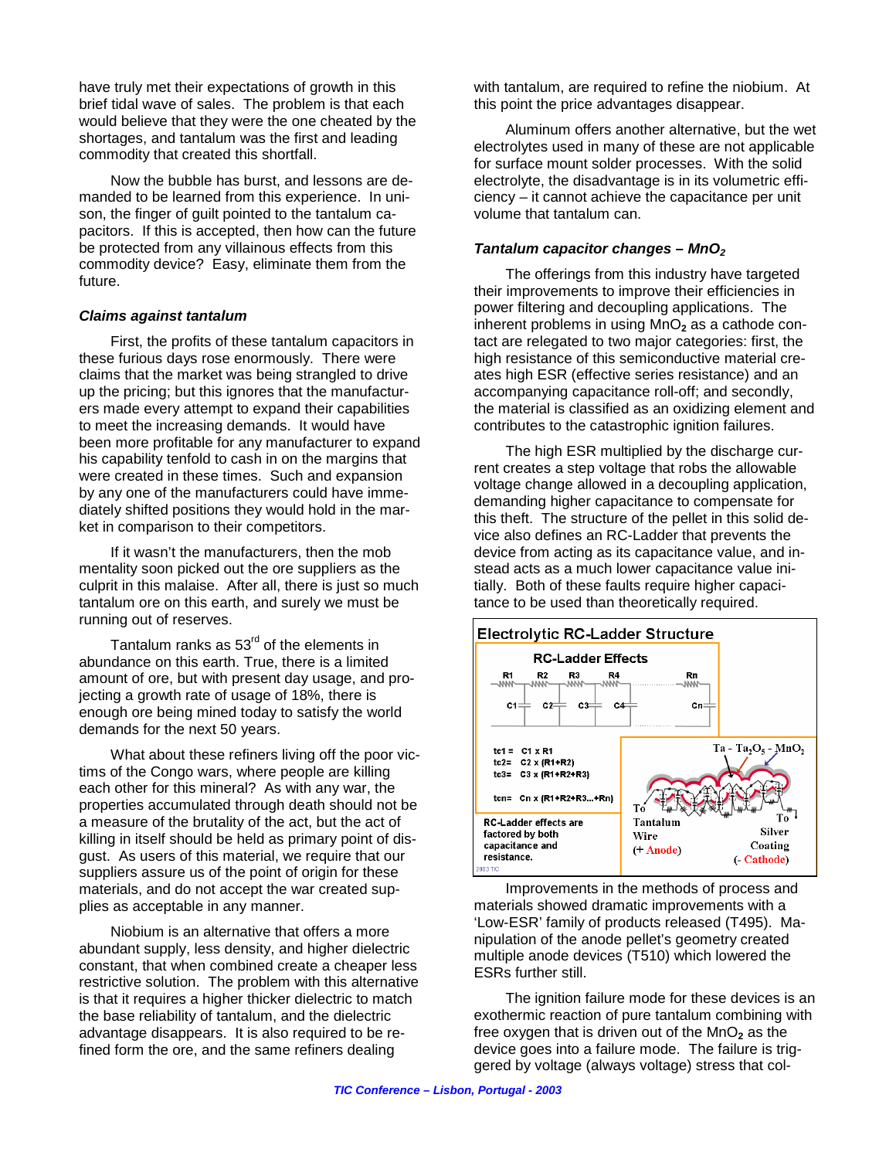have truly met their expectations of growth in this brief tidal wave of sales. The problem is that each would believe that they were the one cheated by the shortages, and tantalum was the first and leading commodity that created this shortfall.

Now the bubble has burst, and lessons are demanded to be learned from this experience. In unison, the finger of guilt pointed to the tantalum capacitors. If this is accepted, then how can the future be protected from any villainous effects from this commodity device? Easy, eliminate them from the future.

### *Claims against tantalum*

First, the profits of these tantalum capacitors in these furious days rose enormously. There were claims that the market was being strangled to drive up the pricing; but this ignores that the manufacturers made every attempt to expand their capabilities to meet the increasing demands. It would have been more profitable for any manufacturer to expand his capability tenfold to cash in on the margins that were created in these times. Such and expansion by any one of the manufacturers could have immediately shifted positions they would hold in the market in comparison to their competitors.

If it wasn't the manufacturers, then the mob mentality soon picked out the ore suppliers as the culprit in this malaise. After all, there is just so much tantalum ore on this earth, and surely we must be running out of reserves.

Tantalum ranks as  $53<sup>rd</sup>$  of the elements in abundance on this earth. True, there is a limited amount of ore, but with present day usage, and projecting a growth rate of usage of 18%, there is enough ore being mined today to satisfy the world demands for the next 50 years.

What about these refiners living off the poor victims of the Congo wars, where people are killing each other for this mineral? As with any war, the properties accumulated through death should not be a measure of the brutality of the act, but the act of killing in itself should be held as primary point of disgust. As users of this material, we require that our suppliers assure us of the point of origin for these materials, and do not accept the war created supplies as acceptable in any manner.

Niobium is an alternative that offers a more abundant supply, less density, and higher dielectric constant, that when combined create a cheaper less restrictive solution. The problem with this alternative is that it requires a higher thicker dielectric to match the base reliability of tantalum, and the dielectric advantage disappears. It is also required to be refined form the ore, and the same refiners dealing

with tantalum, are required to refine the niobium. At this point the price advantages disappear.

Aluminum offers another alternative, but the wet electrolytes used in many of these are not applicable for surface mount solder processes. With the solid electrolyte, the disadvantage is in its volumetric efficiency – it cannot achieve the capacitance per unit volume that tantalum can.

### *Tantalum capacitor changes – MnO2*

The offerings from this industry have targeted their improvements to improve their efficiencies in power filtering and decoupling applications. The inherent problems in using MnO**2** as a cathode contact are relegated to two major categories: first, the high resistance of this semiconductive material creates high ESR (effective series resistance) and an accompanying capacitance roll-off; and secondly, the material is classified as an oxidizing element and contributes to the catastrophic ignition failures.

The high ESR multiplied by the discharge current creates a step voltage that robs the allowable voltage change allowed in a decoupling application, demanding higher capacitance to compensate for this theft. The structure of the pellet in this solid device also defines an RC-Ladder that prevents the device from acting as its capacitance value, and instead acts as a much lower capacitance value initially. Both of these faults require higher capacitance to be used than theoretically required.



Improvements in the methods of process and materials showed dramatic improvements with a 'Low-ESR' family of products released (T495). Manipulation of the anode pellet's geometry created multiple anode devices (T510) which lowered the ESRs further still.

The ignition failure mode for these devices is an exothermic reaction of pure tantalum combining with free oxygen that is driven out of the  $MnO<sub>2</sub>$  as the device goes into a failure mode. The failure is triggered by voltage (always voltage) stress that col-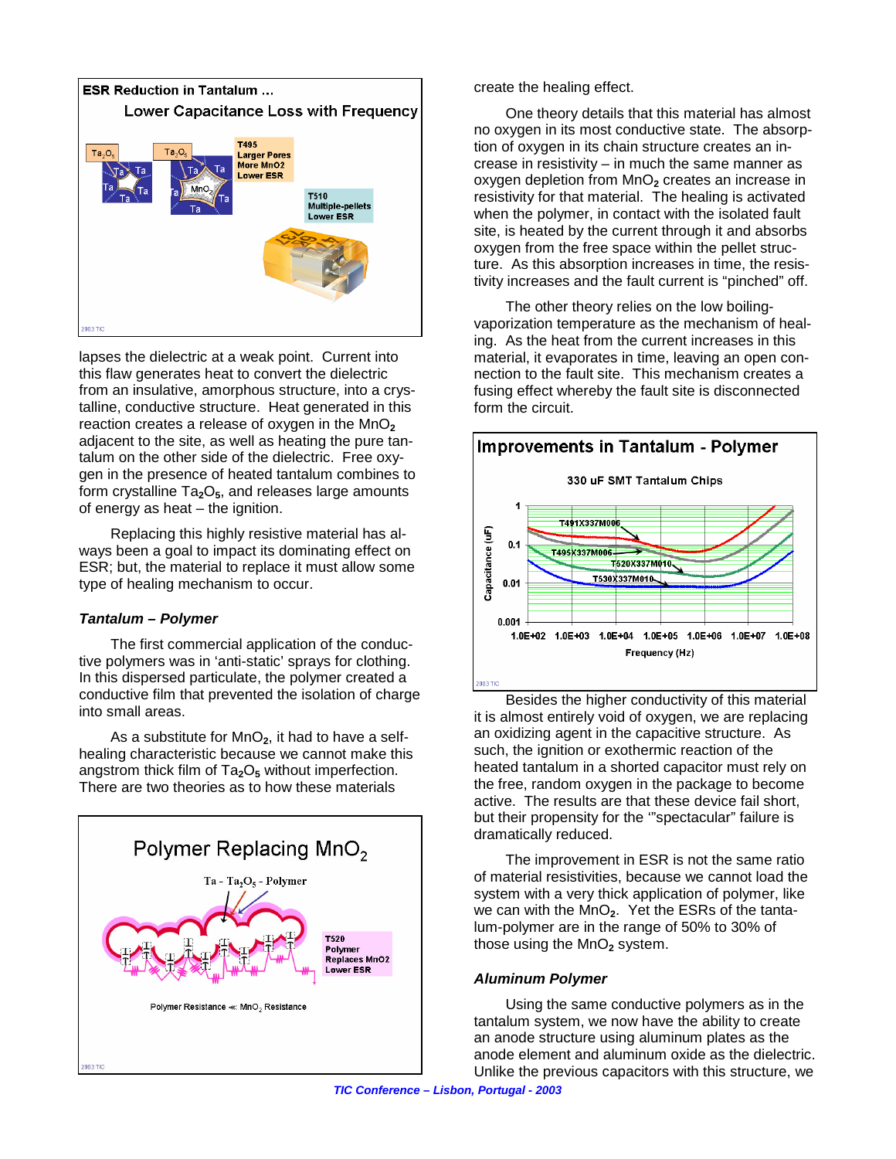

lapses the dielectric at a weak point. Current into this flaw generates heat to convert the dielectric from an insulative, amorphous structure, into a crystalline, conductive structure. Heat generated in this reaction creates a release of oxygen in the MnO<sub>2</sub> adjacent to the site, as well as heating the pure tantalum on the other side of the dielectric. Free oxygen in the presence of heated tantalum combines to form crystalline Ta**2**O**5**, and releases large amounts of energy as heat – the ignition.

Replacing this highly resistive material has always been a goal to impact its dominating effect on ESR; but, the material to replace it must allow some type of healing mechanism to occur.

### *Tantalum – Polymer*

The first commercial application of the conductive polymers was in 'anti-static' sprays for clothing. In this dispersed particulate, the polymer created a conductive film that prevented the isolation of charge into small areas.

As a substitute for MnO<sub>2</sub>, it had to have a selfhealing characteristic because we cannot make this angstrom thick film of Ta**2**O**5** without imperfection. There are two theories as to how these materials



create the healing effect.

One theory details that this material has almost no oxygen in its most conductive state. The absorption of oxygen in its chain structure creates an increase in resistivity – in much the same manner as oxygen depletion from MnO<sub>2</sub> creates an increase in resistivity for that material. The healing is activated when the polymer, in contact with the isolated fault site, is heated by the current through it and absorbs oxygen from the free space within the pellet structure. As this absorption increases in time, the resistivity increases and the fault current is "pinched" off.

The other theory relies on the low boilingvaporization temperature as the mechanism of healing. As the heat from the current increases in this material, it evaporates in time, leaving an open connection to the fault site. This mechanism creates a fusing effect whereby the fault site is disconnected form the circuit.



Besides the higher conductivity of this material it is almost entirely void of oxygen, we are replacing an oxidizing agent in the capacitive structure. As such, the ignition or exothermic reaction of the heated tantalum in a shorted capacitor must rely on the free, random oxygen in the package to become active. The results are that these device fail short, but their propensity for the '"spectacular" failure is dramatically reduced.

The improvement in ESR is not the same ratio of material resistivities, because we cannot load the system with a very thick application of polymer, like we can with the MnO**2**. Yet the ESRs of the tantalum-polymer are in the range of 50% to 30% of those using the MnO<sub>2</sub> system.

### *Aluminum Polymer*

Using the same conductive polymers as in the tantalum system, we now have the ability to create an anode structure using aluminum plates as the anode element and aluminum oxide as the dielectric. Unlike the previous capacitors with this structure, we

*TIC Conference – Lisbon, Portugal - 2003*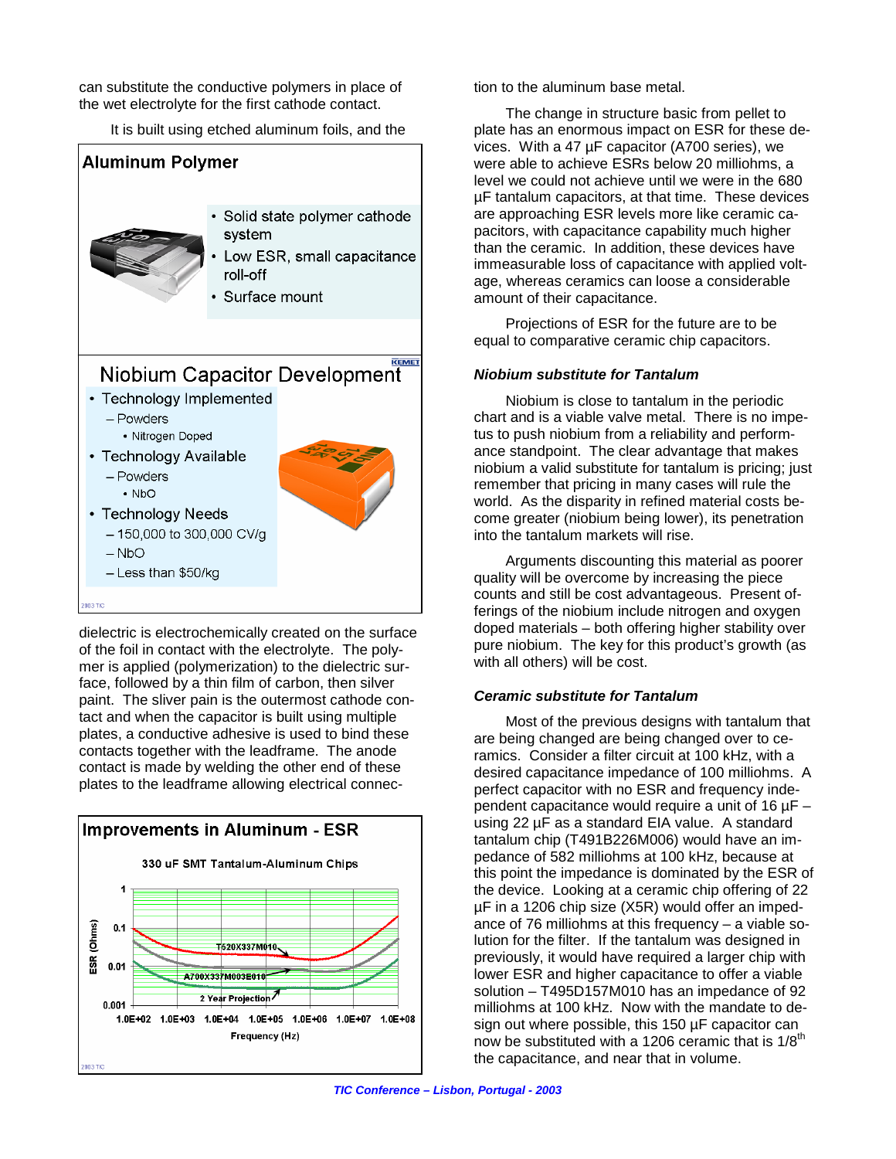can substitute the conductive polymers in place of the wet electrolyte for the first cathode contact.

It is built using etched aluminum foils, and the



dielectric is electrochemically created on the surface of the foil in contact with the electrolyte. The polymer is applied (polymerization) to the dielectric surface, followed by a thin film of carbon, then silver paint. The sliver pain is the outermost cathode contact and when the capacitor is built using multiple plates, a conductive adhesive is used to bind these contacts together with the leadframe. The anode contact is made by welding the other end of these plates to the leadframe allowing electrical connec-



tion to the aluminum base metal.

The change in structure basic from pellet to plate has an enormous impact on ESR for these devices. With a 47 µF capacitor (A700 series), we were able to achieve ESRs below 20 milliohms, a level we could not achieve until we were in the 680 µF tantalum capacitors, at that time. These devices are approaching ESR levels more like ceramic capacitors, with capacitance capability much higher than the ceramic. In addition, these devices have immeasurable loss of capacitance with applied voltage, whereas ceramics can loose a considerable amount of their capacitance.

Projections of ESR for the future are to be equal to comparative ceramic chip capacitors.

## *Niobium substitute for Tantalum*

Niobium is close to tantalum in the periodic chart and is a viable valve metal. There is no impetus to push niobium from a reliability and performance standpoint. The clear advantage that makes niobium a valid substitute for tantalum is pricing; just remember that pricing in many cases will rule the world. As the disparity in refined material costs become greater (niobium being lower), its penetration into the tantalum markets will rise.

Arguments discounting this material as poorer quality will be overcome by increasing the piece counts and still be cost advantageous. Present offerings of the niobium include nitrogen and oxygen doped materials – both offering higher stability over pure niobium. The key for this product's growth (as with all others) will be cost.

# *Ceramic substitute for Tantalum*

Most of the previous designs with tantalum that are being changed are being changed over to ceramics. Consider a filter circuit at 100 kHz, with a desired capacitance impedance of 100 milliohms. A perfect capacitor with no ESR and frequency independent capacitance would require a unit of 16 µF – using 22 µF as a standard EIA value. A standard tantalum chip (T491B226M006) would have an impedance of 582 milliohms at 100 kHz, because at this point the impedance is dominated by the ESR of the device. Looking at a ceramic chip offering of 22 µF in a 1206 chip size (X5R) would offer an impedance of 76 milliohms at this frequency – a viable solution for the filter. If the tantalum was designed in previously, it would have required a larger chip with lower ESR and higher capacitance to offer a viable solution – T495D157M010 has an impedance of 92 milliohms at 100 kHz. Now with the mandate to design out where possible, this 150 µF capacitor can now be substituted with a 1206 ceramic that is 1/8<sup>th</sup> the capacitance, and near that in volume.